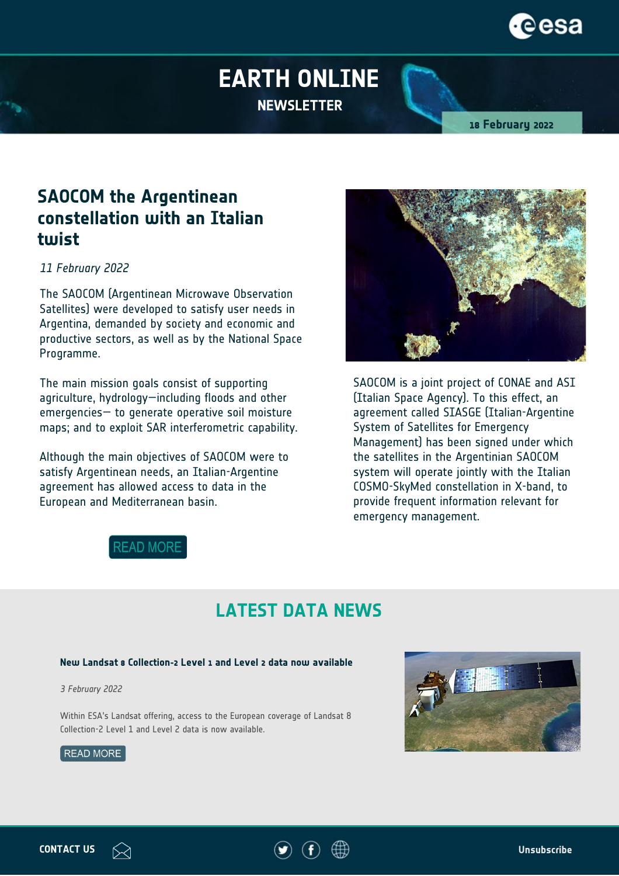

# **EARTH ONLINE NEWSLETTER**

**18 February 2022**

## **SAOCOM the Argentinean constellation with an Italian twist**

*11 February 2022*

The SAOCOM (Argentinean Microwave Observation Satellites) were developed to satisfy user needs in Argentina, demanded by society and economic and productive sectors, as well as by the National Space Programme.

The main mission goals consist of supporting agriculture, hydrology—including floods and other emergencies— to generate operative soil moisture maps; and to exploit SAR interferometric capability.

Although the main objectives of SAOCOM were to satisfy Argentinean needs, an Italian-Argentine agreement has allowed access to data in the European and Mediterranean basin.



SAOCOM is a joint project of CONAE and ASI (Italian Space Agency). To this effect, an agreement called SIASGE (Italian-Argentine System of Satellites for Emergency Management) has been signed under which the satellites in the Argentinian SAOCOM system will operate jointly with the Italian COSMO-SkyMed constellation in X-band, to provide frequent information relevant for emergency management.



## **LATEST DATA NEWS**

#### **New Landsat 8 Collection-2 Level 1 and Level 2 data now available**

*3 February 2022*

Within ESA's Landsat offering, access to the European coverage of Landsat 8 Collection-2 Level 1 and Level 2 data is now available.







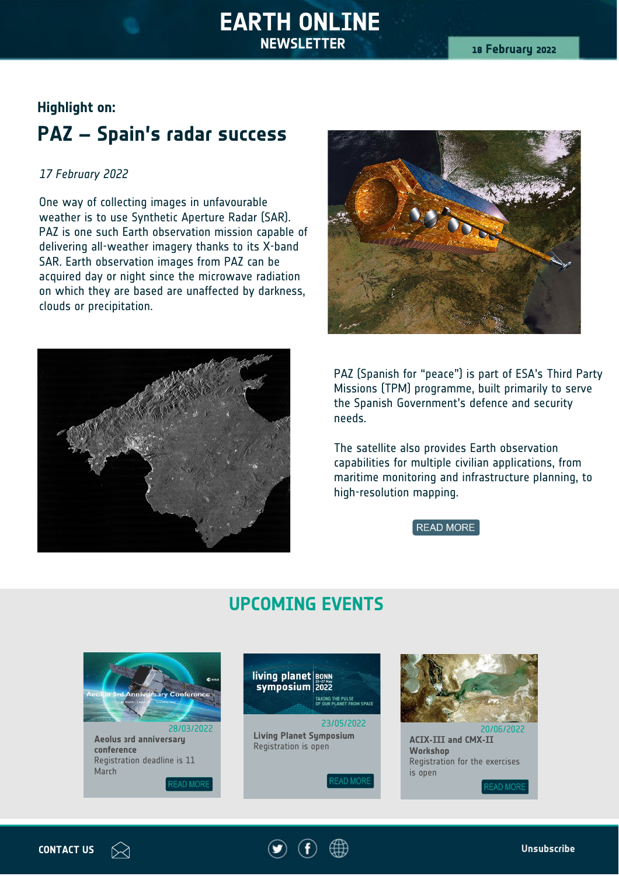### **Highlight on:**

# **PAZ – Spain's radar success**

#### *17 February 2022*

One way of collecting images in unfavourable weather is to use Synthetic Aperture Radar (SAR). PAZ is one such Earth observation mission capable of delivering all-weather imagery thanks to its X-band SAR. Earth observation images from PAZ can be acquired day or night since the microwave radiation on which they are based are unaffected by darkness, clouds or precipitation.





PAZ (Spanish for "peace") is part of ESA's Third Party Missions (TPM) programme, built primarily to serve the Spanish Government's defence and security needs.

The satellite also provides Earth observation capabilities for multiple civilian applications, from maritime monitoring and infrastructure planning, to high-resolution mapping.

**READ MORE** 

## **UPCOMING EVENTS**



**conference**  Registration deadline is 11 March

**READ MORE** 





**ACIX-III and CMX-II Workshop** Registration for the exercises is open

**READ MOR**